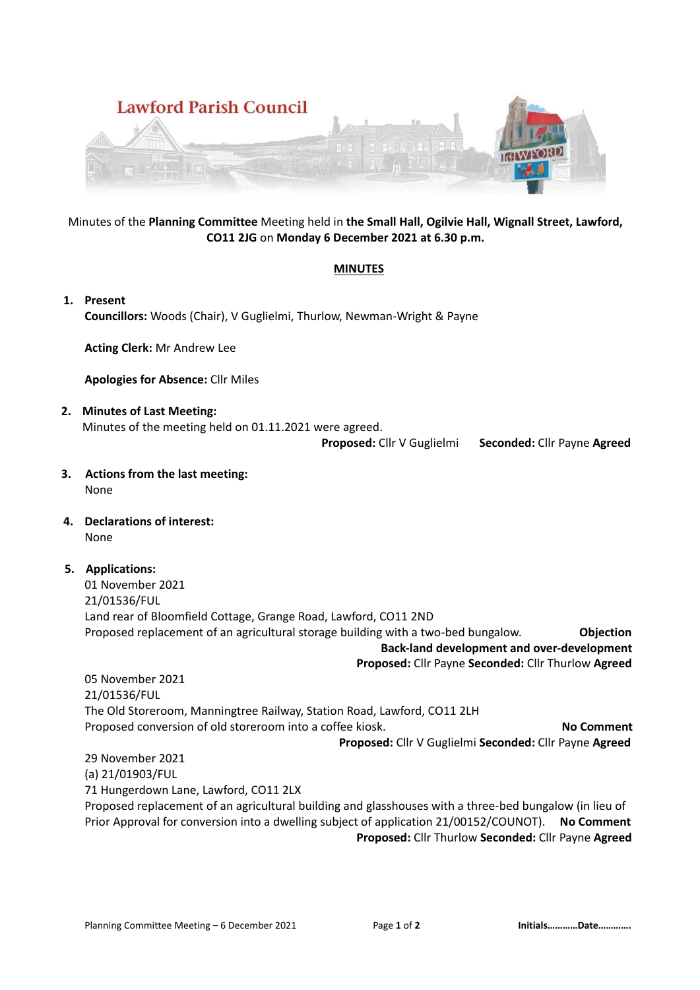

## Minutes of the **Planning Committee** Meeting held in **the Small Hall, Ogilvie Hall, Wignall Street, Lawford, CO11 2JG** on **Monday 6 December 2021 at 6.30 p.m.**

## **MINUTES**

**1. Present Councillors:** Woods (Chair), V Guglielmi, Thurlow, Newman-Wright & Payne

**Acting Clerk:** Mr Andrew Lee

**Apologies for Absence:** Cllr Miles

**2. Minutes of Last Meeting:** Minutes of the meeting held on 01.11.2021 were agreed.

**Proposed:** Cllr V Guglielmi **Seconded:** Cllr Payne **Agreed**

- **3. Actions from the last meeting:** None
- **4. Declarations of interest:** None
- **5. Applications:**

01 November 2021 21/01536/FUL Land rear of Bloomfield Cottage, Grange Road, Lawford, CO11 2ND Proposed replacement of an agricultural storage building with a two-bed bungalow. **Objection Back-land development and over-development**

**Proposed:** Cllr Payne **Seconded:** Cllr Thurlow **Agreed**

05 November 2021 21/01536/FUL The Old Storeroom, Manningtree Railway, Station Road, Lawford, CO11 2LH Proposed conversion of old storeroom into a coffee kiosk. **No Comment Proposed:** Cllr V Guglielmi **Seconded:** Cllr Payne **Agreed**

29 November 2021 (a) 21/01903/FUL 71 Hungerdown Lane, Lawford, CO11 2LX Proposed replacement of an agricultural building and glasshouses with a three-bed bungalow (in lieu of Prior Approval for conversion into a dwelling subject of application 21/00152/COUNOT). **No Comment Proposed:** Cllr Thurlow **Seconded:** Cllr Payne **Agreed**